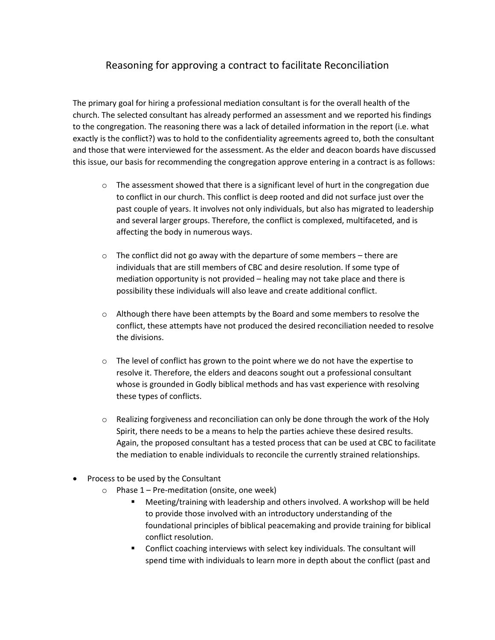## Reasoning for approving a contract to facilitate Reconciliation

The primary goal for hiring a professional mediation consultant is for the overall health of the church. The selected consultant has already performed an assessment and we reported his findings to the congregation. The reasoning there was a lack of detailed information in the report (i.e. what exactly is the conflict?) was to hold to the confidentiality agreements agreed to, both the consultant and those that were interviewed for the assessment. As the elder and deacon boards have discussed this issue, our basis for recommending the congregation approve entering in a contract is as follows:

- $\circ$  The assessment showed that there is a significant level of hurt in the congregation due to conflict in our church. This conflict is deep rooted and did not surface just over the past couple of years. It involves not only individuals, but also has migrated to leadership and several larger groups. Therefore, the conflict is complexed, multifaceted, and is affecting the body in numerous ways.
- $\circ$  The conflict did not go away with the departure of some members there are individuals that are still members of CBC and desire resolution. If some type of mediation opportunity is not provided – healing may not take place and there is possibility these individuals will also leave and create additional conflict.
- o Although there have been attempts by the Board and some members to resolve the conflict, these attempts have not produced the desired reconciliation needed to resolve the divisions.
- $\circ$  The level of conflict has grown to the point where we do not have the expertise to resolve it. Therefore, the elders and deacons sought out a professional consultant whose is grounded in Godly biblical methods and has vast experience with resolving these types of conflicts.
- $\circ$  Realizing forgiveness and reconciliation can only be done through the work of the Holy Spirit, there needs to be a means to help the parties achieve these desired results. Again, the proposed consultant has a tested process that can be used at CBC to facilitate the mediation to enable individuals to reconcile the currently strained relationships.
- Process to be used by the Consultant
	- $\circ$  Phase 1 Pre-meditation (onsite, one week)
		- Meeting/training with leadership and others involved. A workshop will be held to provide those involved with an introductory understanding of the foundational principles of biblical peacemaking and provide training for biblical conflict resolution.
		- Conflict coaching interviews with select key individuals. The consultant will spend time with individuals to learn more in depth about the conflict (past and